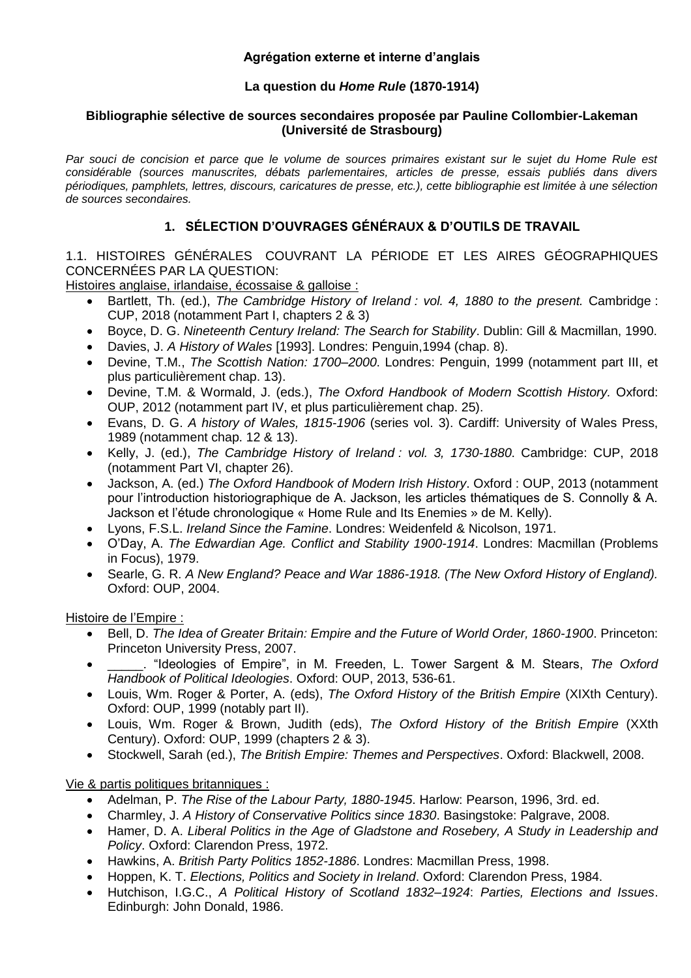## **Agrégation externe et interne d'anglais**

# **La question du** *Home Rule* **(1870-1914)**

#### **Bibliographie sélective de sources secondaires proposée par Pauline Collombier-Lakeman (Université de Strasbourg)**

*Par souci de concision et parce que le volume de sources primaires existant sur le sujet du Home Rule est considérable (sources manuscrites, débats parlementaires, articles de presse, essais publiés dans divers périodiques, pamphlets, lettres, discours, caricatures de presse, etc.), cette bibliographie est limitée à une sélection de sources secondaires.* 

# **1. SÉLECTION D'OUVRAGES GÉNÉRAUX & D'OUTILS DE TRAVAIL**

1.1. HISTOIRES GÉNÉRALES COUVRANT LA PÉRIODE ET LES AIRES GÉOGRAPHIQUES CONCERNÉES PAR LA QUESTION:

Histoires anglaise, irlandaise, écossaise & galloise :

- Bartlett, Th. (ed.), *The Cambridge History of Ireland : vol. 4, 1880 to the present.* Cambridge : CUP, 2018 (notamment Part I, chapters 2 & 3)
- Boyce, D. G. *Nineteenth Century Ireland: The Search for Stability*. Dublin: Gill & Macmillan, 1990.
- Davies, J. *A History of Wales* [1993]. Londres: Penguin,1994 (chap. 8).
- Devine, T.M., *The Scottish Nation: 1700–2000*. Londres: Penguin, 1999 (notamment part III, et plus particulièrement chap. 13).
- Devine, T.M. & Wormald, J. (eds.), *The Oxford Handbook of Modern Scottish History.* Oxford: OUP, 2012 (notamment part IV, et plus particulièrement chap. 25).
- Evans, D. G. *A history of Wales, 1815-1906* (series vol. 3). Cardiff: University of Wales Press, 1989 (notamment chap. 12 & 13).
- Kelly, J. (ed.), *The Cambridge History of Ireland : vol. 3, 1730-1880*. Cambridge: CUP, 2018 (notamment Part VI, chapter 26).
- Jackson, A. (ed.) *The Oxford Handbook of Modern Irish History*. Oxford : OUP, 2013 (notamment pour l'introduction historiographique de A. Jackson, les articles thématiques de S. Connolly & A. Jackson et l'étude chronologique « Home Rule and Its Enemies » de M. Kelly).
- Lyons, F.S.L. *Ireland Since the Famine*. Londres: Weidenfeld & Nicolson, 1971.
- O'Day, A. *The Edwardian Age. Conflict and Stability 1900-1914*. Londres: Macmillan (Problems in Focus), 1979.
- Searle, G. R. *A New England? Peace and War 1886-1918. (The New Oxford History of England).*  Oxford: OUP, 2004.

Histoire de l'Empire :

- Bell, D. *The Idea of Greater Britain: Empire and the Future of World Order, 1860-1900*. Princeton: Princeton University Press, 2007.
- \_\_\_\_\_. "Ideologies of Empire", in M. Freeden, L. Tower Sargent & M. Stears, *The Oxford Handbook of Political Ideologies*. Oxford: OUP, 2013, 536-61.
- Louis, Wm. Roger & Porter, A. (eds), *The Oxford History of the British Empire* (XIXth Century). Oxford: OUP, 1999 (notably part II).
- Louis, Wm. Roger & Brown, Judith (eds), *The Oxford History of the British Empire* (XXth Century). Oxford: OUP, 1999 (chapters 2 & 3).
- Stockwell, Sarah (ed.), *The British Empire: Themes and Perspectives*. Oxford: Blackwell, 2008.

#### Vie & partis politiques britanniques :

- Adelman, P. *The Rise of the Labour Party, 1880-1945*. Harlow: Pearson, 1996, 3rd. ed.
- Charmley, J. *A History of Conservative Politics since 1830*. Basingstoke: Palgrave, 2008.
- Hamer, D. A. *Liberal Politics in the Age of Gladstone and Rosebery, A Study in Leadership and Policy*. Oxford: Clarendon Press, 1972.
- Hawkins, A. *British Party Politics 1852-1886*. Londres: Macmillan Press, 1998.
- Hoppen, K. T. *Elections, Politics and Society in Ireland*. Oxford: Clarendon Press, 1984.
- Hutchison, I.G.C., *A Political History of Scotland 1832–1924*: *Parties, Elections and Issues*. Edinburgh: John Donald, 1986.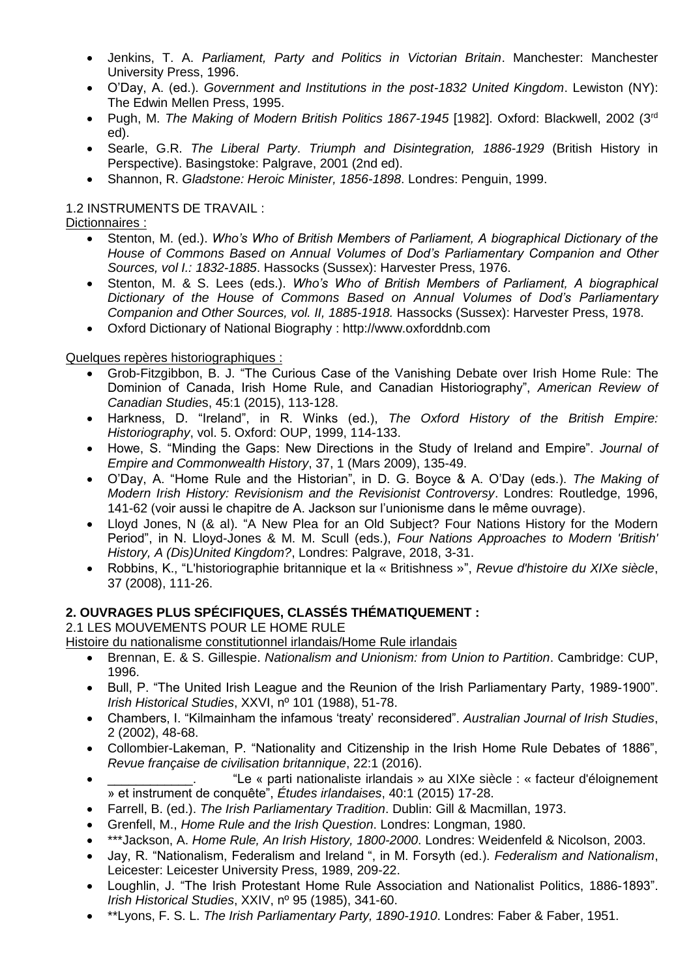- Jenkins, T. A. *Parliament, Party and Politics in Victorian Britain*. Manchester: Manchester University Press, 1996.
- O'Day, A. (ed.). *Government and Institutions in the post-1832 United Kingdom*. Lewiston (NY): The Edwin Mellen Press, 1995.
- Pugh, M. *The Making of Modern British Politics 1867-1945* [1982]. Oxford: Blackwell, 2002 (3rd ed).
- Searle, G.R. *The Liberal Party*. *Triumph and Disintegration, 1886-1929* (British History in Perspective). Basingstoke: Palgrave, 2001 (2nd ed).
- Shannon, R. *Gladstone: Heroic Minister, 1856-1898*. Londres: Penguin, 1999.

## 1.2 INSTRUMENTS DE TRAVAIL :

Dictionnaires :

- Stenton, M. (ed.). *Who's Who of British Members of Parliament, A biographical Dictionary of the House of Commons Based on Annual Volumes of Dod's Parliamentary Companion and Other Sources, vol I.: 1832-1885*. Hassocks (Sussex): Harvester Press, 1976.
- Stenton, M. & S. Lees (eds.). *Who's Who of British Members of Parliament, A biographical Dictionary of the House of Commons Based on Annual Volumes of Dod's Parliamentary Companion and Other Sources, vol. II, 1885-1918.* Hassocks (Sussex): Harvester Press, 1978.
- Oxford Dictionary of National Biography : http://www.oxforddnb.com

## Quelques repères historiographiques :

- Grob-Fitzgibbon, B. J. "The Curious Case of the Vanishing Debate over Irish Home Rule: The Dominion of Canada, Irish Home Rule, and Canadian Historiography", *American Review of Canadian Studie*s, 45:1 (2015), 113-128.
- Harkness, D. "Ireland", in R. Winks (ed.), *The Oxford History of the British Empire: Historiography*, vol. 5. Oxford: OUP, 1999, 114-133.
- Howe, S. "Minding the Gaps: New Directions in the Study of Ireland and Empire". *Journal of Empire and Commonwealth History*, 37, 1 (Mars 2009), 135-49.
- O'Day, A. "Home Rule and the Historian", in D. G. Boyce & A. O'Day (eds.). *The Making of Modern Irish History: Revisionism and the Revisionist Controversy*. Londres: Routledge, 1996, 141-62 (voir aussi le chapitre de A. Jackson sur l'unionisme dans le même ouvrage).
- Lloyd Jones, N (& al). "A New Plea for an Old Subject? Four Nations History for the Modern Period", in N. Lloyd-Jones & M. M. Scull (eds.), *Four Nations Approaches to Modern 'British' History, A (Dis)United Kingdom?*, Londres: Palgrave, 2018, 3-31.
- Robbins, K., "L'historiographie britannique et la « Britishness »", *Revue d'histoire du XIXe siècle*, 37 (2008), 111-26.

# **2. OUVRAGES PLUS SPÉCIFIQUES, CLASSÉS THÉMATIQUEMENT :**

2.1 LES MOUVEMENTS POUR LE HOME RULE

Histoire du nationalisme constitutionnel irlandais/Home Rule irlandais

- Brennan, E. & S. Gillespie. *Nationalism and Unionism: from Union to Partition*. Cambridge: CUP, 1996.
- Bull, P. "The United Irish League and the Reunion of the Irish Parliamentary Party, 1989-1900". *Irish Historical Studies*, XXVI, nº 101 (1988), 51-78.
- Chambers, I. "Kilmainham the infamous 'treaty' reconsidered". *Australian Journal of Irish Studies*, 2 (2002), 48-68.
- Collombier-Lakeman, P. "Nationality and Citizenship in the Irish Home Rule Debates of 1886", *Revue française de civilisation britannique*, 22:1 (2016).
- "Le « parti nationaliste irlandais » au XIXe siècle : « facteur d'éloignement » et instrument de conquête", *Études irlandaises*, 40:1 (2015) 17-28.
- Farrell, B. (ed.). *The Irish Parliamentary Tradition*. Dublin: Gill & Macmillan, 1973.
- Grenfell, M., *Home Rule and the Irish Question*. Londres: Longman, 1980.
- \*\*\*Jackson, A. *Home Rule, An Irish History, 1800-2000*. Londres: Weidenfeld & Nicolson, 2003.
- Jay, R. "Nationalism, Federalism and Ireland ", in M. Forsyth (ed.). *Federalism and Nationalism*, Leicester: Leicester University Press, 1989, 209-22.
- Loughlin, J. "The Irish Protestant Home Rule Association and Nationalist Politics, 1886-1893". *Irish Historical Studies*, XXIV, nº 95 (1985), 341-60.
- \*\*Lyons, F. S. L. *The Irish Parliamentary Party, 1890-1910*. Londres: Faber & Faber, 1951.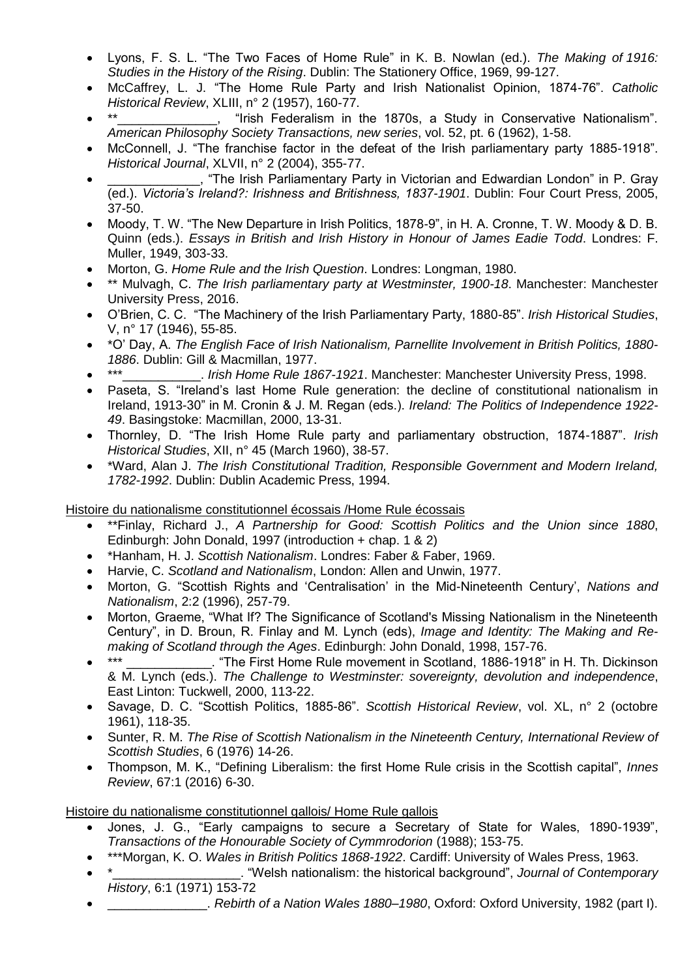- Lyons, F. S. L. "The Two Faces of Home Rule" in K. B. Nowlan (ed.). *The Making of 1916: Studies in the History of the Rising*. Dublin: The Stationery Office, 1969, 99-127.
- McCaffrey, L. J. "The Home Rule Party and Irish Nationalist Opinion, 1874-76". *Catholic Historical Review*, XLIII, n° 2 (1957), 160-77.
- "Irish Federalism in the 1870s, a Study in Conservative Nationalism". *American Philosophy Society Transactions, new series*, vol. 52, pt. 6 (1962), 1-58.
- McConnell, J. "The franchise factor in the defeat of the Irish parliamentary party 1885-1918". *Historical Journal*, XLVII, n° 2 (2004), 355-77.
- . "The Irish Parliamentary Party in Victorian and Edwardian London" in P. Gray (ed.). *Victoria's Ireland?: Irishness and Britishness, 1837-1901*. Dublin: Four Court Press, 2005, 37-50.
- Moody, T. W. "The New Departure in Irish Politics, 1878-9", in H. A. Cronne, T. W. Moody & D. B. Quinn (eds.). *Essays in British and Irish History in Honour of James Eadie Todd*. Londres: F. Muller, 1949, 303-33.
- Morton, G. *Home Rule and the Irish Question*. Londres: Longman, 1980.
- \*\* Mulvagh, C. *The Irish parliamentary party at Westminster, 1900-18*. Manchester: Manchester University Press, 2016.
- O'Brien, C. C. "The Machinery of the Irish Parliamentary Party, 1880-85". *Irish Historical Studies*, V, n° 17 (1946), 55-85.
- \*O' Day, A. *The English Face of Irish Nationalism, Parnellite Involvement in British Politics, 1880- 1886*. Dublin: Gill & Macmillan, 1977.
- \*\*\*\_\_\_\_\_\_\_\_\_\_\_. *Irish Home Rule 1867-1921*. Manchester: Manchester University Press, 1998.
- Paseta, S. "Ireland's last Home Rule generation: the decline of constitutional nationalism in Ireland, 1913-30" in M. Cronin & J. M. Regan (eds.). *Ireland: The Politics of Independence 1922- 49*. Basingstoke: Macmillan, 2000, 13-31.
- Thornley, D. "The Irish Home Rule party and parliamentary obstruction, 1874-1887". *Irish Historical Studies*, XII, n° 45 (March 1960), 38-57.
- \*Ward, Alan J. *The Irish Constitutional Tradition, Responsible Government and Modern Ireland, 1782-1992*. Dublin: Dublin Academic Press, 1994.

Histoire du nationalisme constitutionnel écossais /Home Rule écossais

- \*\*Finlay, Richard J., *A Partnership for Good: Scottish Politics and the Union since 1880*, Edinburgh: John Donald, 1997 (introduction + chap. 1 & 2)
- \*Hanham, H. J. *Scottish Nationalism*. Londres: Faber & Faber, 1969.
- Harvie, C. *Scotland and Nationalism*, London: Allen and Unwin, 1977.
- Morton, G. "Scottish Rights and 'Centralisation' in the Mid-Nineteenth Century', *Nations and Nationalism*, 2:2 (1996), 257-79.
- Morton, Graeme, "What If? The Significance of Scotland's Missing Nationalism in the Nineteenth Century", in D. Broun, R. Finlay and M. Lynch (eds), *Image and Identity: The Making and Remaking of Scotland through the Ages*. Edinburgh: John Donald, 1998, 157-76.
- . "The First Home Rule movement in Scotland, 1886-1918" in H. Th. Dickinson & M. Lynch (eds.). *The Challenge to Westminster: sovereignty, devolution and independence*, East Linton: Tuckwell, 2000, 113-22.
- Savage, D. C. "Scottish Politics, 1885-86". *Scottish Historical Review*, vol. XL, n° 2 (octobre 1961), 118-35.
- Sunter, R. M. *The Rise of Scottish Nationalism in the Nineteenth Century, International Review of Scottish Studies*, 6 (1976) 14-26.
- Thompson, M. K., "Defining Liberalism: the first Home Rule crisis in the Scottish capital", *Innes Review*, 67:1 (2016) 6-30.

Histoire du nationalisme constitutionnel gallois/ Home Rule gallois

- Jones, J. G., "Early campaigns to secure a Secretary of State for Wales, 1890-1939", *Transactions of the Honourable Society of Cymmrodorion* (1988); 153-75.
- \*\*\*Morgan, K. O. *Wales in British Politics 1868-1922*. Cardiff: University of Wales Press, 1963.
- \*\_\_\_\_\_\_\_\_\_\_\_\_\_\_\_\_\_\_. "Welsh nationalism: the historical background", *Journal of Contemporary History*, 6:1 (1971) 153-72
- \_\_\_\_\_\_\_\_\_\_\_\_\_\_. *Rebirth of a Nation Wales 1880–1980*, Oxford: Oxford University, 1982 (part I).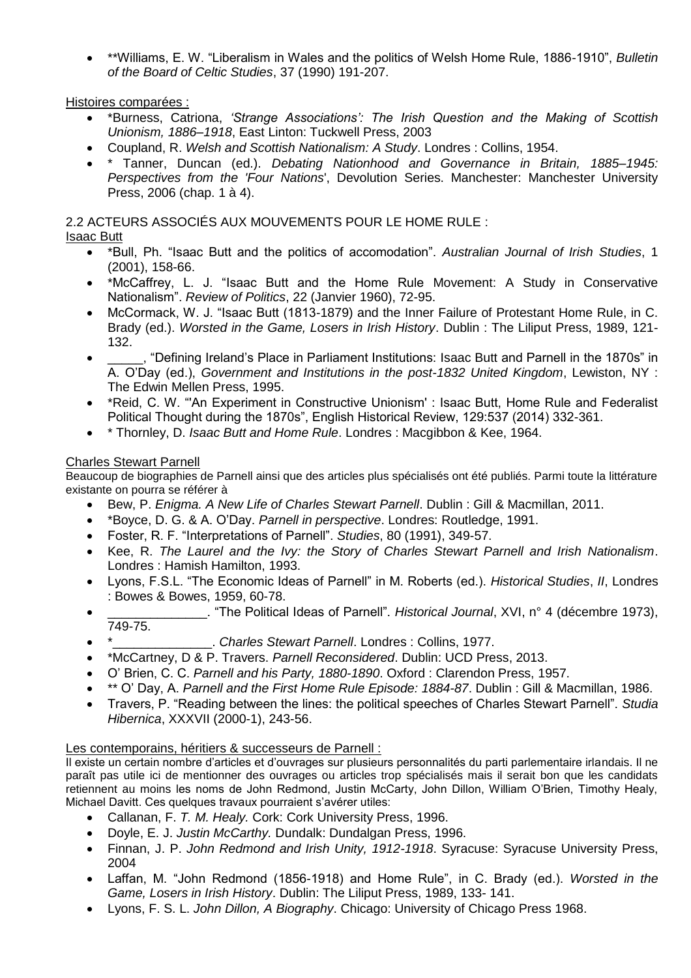• \*\*Williams, E. W. "Liberalism in Wales and the politics of Welsh Home Rule, 1886-1910", *Bulletin of the Board of Celtic Studies*, 37 (1990) 191-207.

#### Histoires comparées :

- \*Burness, Catriona, *'Strange Associations': The Irish Question and the Making of Scottish Unionism, 1886–1918*, East Linton: Tuckwell Press, 2003
- Coupland, R. *Welsh and Scottish Nationalism: A Study*. Londres : Collins, 1954.
- \* Tanner, Duncan (ed.). *Debating Nationhood and Governance in Britain, 1885–1945: Perspectives from the 'Four Nations*', Devolution Series. Manchester: Manchester University Press, 2006 (chap. 1 à 4).

# 2.2 ACTEURS ASSOCIÉS AUX MOUVEMENTS POUR LE HOME RULE :

# Isaac Butt

- \*Bull, Ph. "Isaac Butt and the politics of accomodation". *Australian Journal of Irish Studies*, 1 (2001), 158-66.
- \*McCaffrey, L. J. "Isaac Butt and the Home Rule Movement: A Study in Conservative Nationalism". *Review of Politics*, 22 (Janvier 1960), 72-95.
- McCormack, W. J. "Isaac Butt (1813-1879) and the Inner Failure of Protestant Home Rule, in C. Brady (ed.). *Worsted in the Game, Losers in Irish History*. Dublin : The Liliput Press, 1989, 121- 132.
- \_\_\_\_\_, "Defining Ireland's Place in Parliament Institutions: Isaac Butt and Parnell in the 1870s" in A. O'Day (ed.), *Government and Institutions in the post-1832 United Kingdom*, Lewiston, NY : The Edwin Mellen Press, 1995.
- \*Reid, C. W. "'An Experiment in Constructive Unionism' : Isaac Butt, Home Rule and Federalist Political Thought during the 1870s", English Historical Review, 129:537 (2014) 332-361.
- \* Thornley, D. *Isaac Butt and Home Rule*. Londres : Macgibbon & Kee, 1964.

## Charles Stewart Parnell

Beaucoup de biographies de Parnell ainsi que des articles plus spécialisés ont été publiés. Parmi toute la littérature existante on pourra se référer à

- Bew, P. *Enigma. A New Life of Charles Stewart Parnell*. Dublin : Gill & Macmillan, 2011.
- \*Boyce, D. G. & A. O'Day. *Parnell in perspective*. Londres: Routledge, 1991.
- Foster, R. F. "Interpretations of Parnell". *Studies*, 80 (1991), 349-57.
- Kee, R. *The Laurel and the Ivy: the Story of Charles Stewart Parnell and Irish Nationalism*. Londres : Hamish Hamilton, 1993.
- Lyons, F.S.L. "The Economic Ideas of Parnell" in M. Roberts (ed.). *Historical Studies*, *II*, Londres : Bowes & Bowes, 1959, 60-78.
- \_\_\_\_\_\_\_\_\_\_\_\_\_\_. "The Political Ideas of Parnell". *Historical Journal*, XVI, n° 4 (décembre 1973), 749-75.
- \*\_\_\_\_\_\_\_\_\_\_\_\_\_\_. *Charles Stewart Parnell*. Londres : Collins, 1977.
- \*McCartney, D & P. Travers. *Parnell Reconsidered*. Dublin: UCD Press, 2013.
- O' Brien, C. C. *Parnell and his Party, 1880-1890*. Oxford : Clarendon Press, 1957.
- \*\* O' Day, A. *Parnell and the First Home Rule Episode: 1884-87*. Dublin : Gill & Macmillan, 1986.
- Travers, P. "Reading between the lines: the political speeches of Charles Stewart Parnell". *Studia Hibernica*, XXXVII (2000-1), 243-56.

#### Les contemporains, héritiers & successeurs de Parnell :

Il existe un certain nombre d'articles et d'ouvrages sur plusieurs personnalités du parti parlementaire irlandais. Il ne paraît pas utile ici de mentionner des ouvrages ou articles trop spécialisés mais il serait bon que les candidats retiennent au moins les noms de John Redmond, Justin McCarty, John Dillon, William O'Brien, Timothy Healy, Michael Davitt. Ces quelques travaux pourraient s'avérer utiles:

- Callanan, F. *T. M. Healy.* Cork: Cork University Press, 1996.
- Doyle, E. J. *Justin McCarthy.* Dundalk: Dundalgan Press, 1996.
- Finnan, J. P. *John Redmond and Irish Unity, 1912-1918*. Syracuse: Syracuse University Press, 2004
- Laffan, M. "John Redmond (1856-1918) and Home Rule", in C. Brady (ed.). *Worsted in the Game, Losers in Irish History*. Dublin: The Liliput Press, 1989, 133- 141.
- Lyons, F. S. L. *John Dillon, A Biography*. Chicago: University of Chicago Press 1968.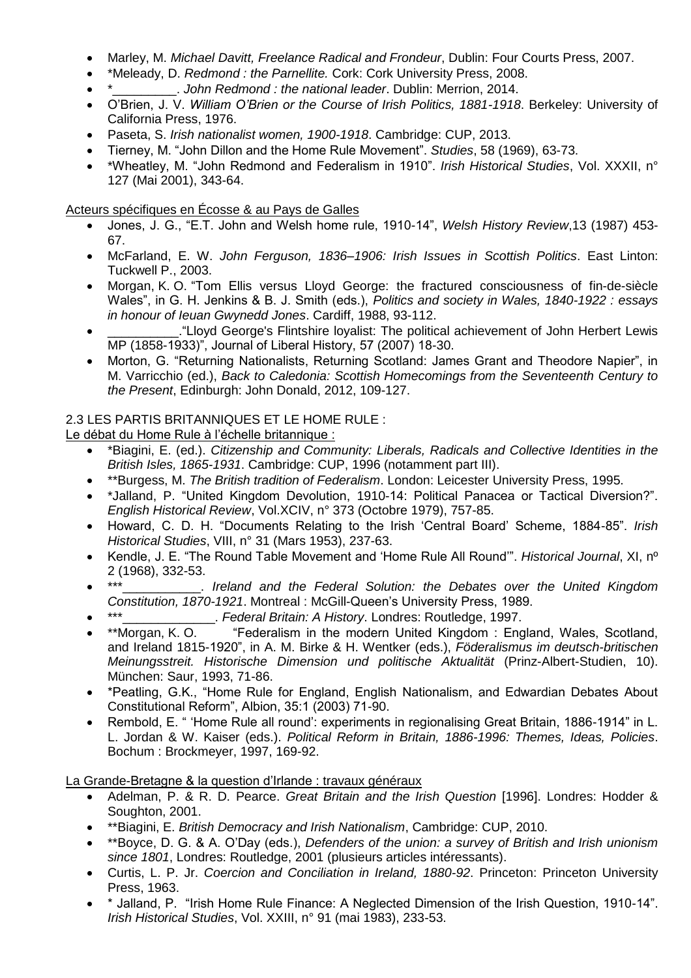- Marley, M. *Michael Davitt, Freelance Radical and Frondeur*, Dublin: Four Courts Press, 2007.
- \*Meleady, D. *Redmond : the Parnellite.* Cork: Cork University Press, 2008.
- \*\_\_\_\_\_\_\_\_\_. *John Redmond : the national leader*. Dublin: Merrion, 2014.
- O'Brien, J. V. *William O'Brien or the Course of Irish Politics, 1881-1918*. Berkeley: University of California Press, 1976.
- Paseta, S. *Irish nationalist women, 1900-1918*. Cambridge: CUP, 2013.
- Tierney, M. "John Dillon and the Home Rule Movement". *Studies*, 58 (1969), 63-73.
- \*Wheatley, M. "John Redmond and Federalism in 1910". *Irish Historical Studies*, Vol. XXXII, n° 127 (Mai 2001), 343-64.

#### Acteurs spécifiques en Écosse & au Pays de Galles

- Jones, J. G., "E.T. John and Welsh home rule, 1910-14", *Welsh History Review*,13 (1987) 453- 67.
- McFarland, E. W. *John Ferguson, 1836–1906: Irish Issues in Scottish Politics*. East Linton: Tuckwell P., 2003.
- Morgan, K. O. "Tom Ellis versus Lloyd George: the fractured consciousness of fin-de-siècle Wales", in G. H. Jenkins & B. J. Smith (eds.), *Politics and society in Wales, 1840-1922 : essays in honour of Ieuan Gwynedd Jones*. Cardiff, 1988, 93-112.
- \_\_\_\_\_\_\_\_\_\_."Lloyd George's Flintshire loyalist: The political achievement of John Herbert Lewis MP (1858-1933)", Journal of Liberal History, 57 (2007) 18-30.
- Morton, G. "Returning Nationalists, Returning Scotland: James Grant and Theodore Napier", in M. Varricchio (ed.), *Back to Caledonia: Scottish Homecomings from the Seventeenth Century to the Present*, Edinburgh: John Donald, 2012, 109-127.

## 2.3 LES PARTIS BRITANNIQUES ET LE HOME RULE :

Le débat du Home Rule à l'échelle britannique :

- \*Biagini, E. (ed.). *Citizenship and Community: Liberals, Radicals and Collective Identities in the British Isles, 1865-1931*. Cambridge: CUP, 1996 (notamment part III).
- \*\*Burgess, M. *The British tradition of Federalism*. London: Leicester University Press, 1995.
- \*Jalland, P. "United Kingdom Devolution, 1910-14: Political Panacea or Tactical Diversion?". *English Historical Review*, Vol.XCIV, n° 373 (Octobre 1979), 757-85.
- Howard, C. D. H. "Documents Relating to the Irish 'Central Board' Scheme, 1884-85". *Irish Historical Studies*, VIII, n° 31 (Mars 1953), 237-63.
- Kendle, J. E. "The Round Table Movement and 'Home Rule All Round'". *Historical Journal*, XI, nº 2 (1968), 332-53.
- \*\*\*\_\_\_\_\_\_\_\_\_\_\_. *Ireland and the Federal Solution: the Debates over the United Kingdom Constitution, 1870-1921*. Montreal : McGill-Queen's University Press, 1989.
- \*\*\*\_\_\_\_\_\_\_\_\_\_\_\_\_. *Federal Britain: A History*. Londres: Routledge, 1997.
- \*\*Morgan, K. O. "Federalism in the modern United Kingdom : England, Wales, Scotland, and Ireland 1815-1920", in A. M. Birke & H. Wentker (eds.), *Föderalismus im deutsch-britischen Meinungsstreit. Historische Dimension und politische Aktualität* (Prinz-Albert-Studien, 10). München: Saur, 1993, 71-86.
- \*Peatling, G.K., "Home Rule for England, English Nationalism, and Edwardian Debates About Constitutional Reform", Albion, 35:1 (2003) 71-90.
- Rembold, E. " 'Home Rule all round': experiments in regionalising Great Britain, 1886-1914" in L. L. Jordan & W. Kaiser (eds.). *Political Reform in Britain, 1886-1996: Themes, Ideas, Policies*. Bochum : Brockmeyer, 1997, 169-92.

# La Grande-Bretagne & la question d'Irlande : travaux généraux

- Adelman, P. & R. D. Pearce. *Great Britain and the Irish Question* [1996]. Londres: Hodder & Soughton, 2001.
- \*\*Biagini, E. *British Democracy and Irish Nationalism*, Cambridge: CUP, 2010.
- \*\*Boyce, D. G. & A. O'Day (eds.), *Defenders of the union: a survey of British and Irish unionism since 1801*, Londres: Routledge, 2001 (plusieurs articles intéressants).
- Curtis, L. P. Jr. *Coercion and Conciliation in Ireland, 1880-92*. Princeton: Princeton University Press, 1963.
- \* Jalland, P. "Irish Home Rule Finance: A Neglected Dimension of the Irish Question, 1910-14". *Irish Historical Studies*, Vol. XXIII, n° 91 (mai 1983), 233-53.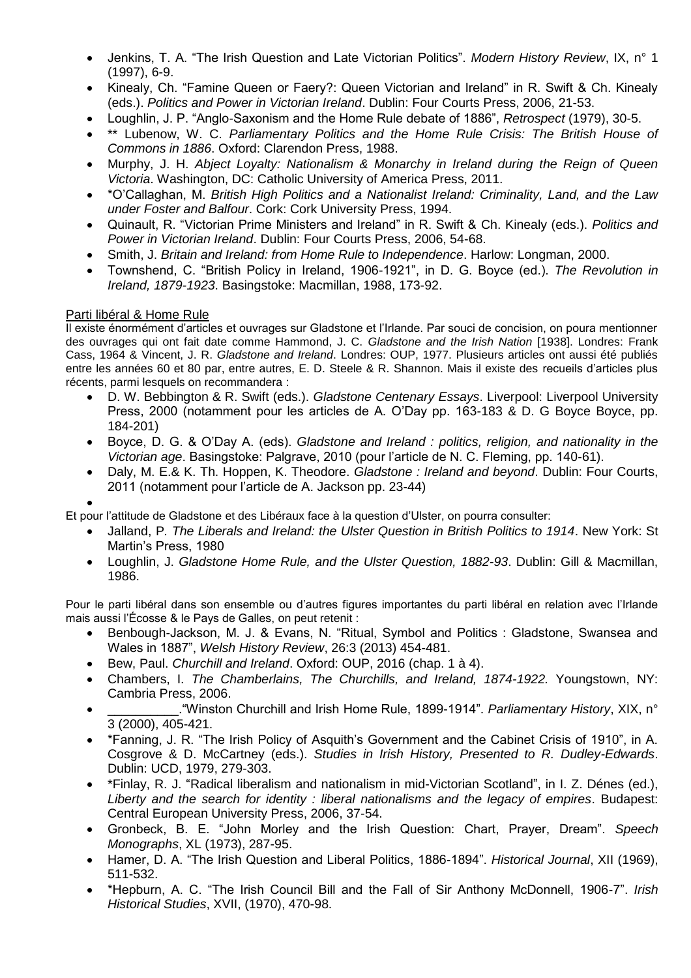- Jenkins, T. A. "The Irish Question and Late Victorian Politics". *Modern History Review*, IX, n° 1 (1997), 6-9.
- Kinealy, Ch. "Famine Queen or Faery?: Queen Victorian and Ireland" in R. Swift & Ch. Kinealy (eds.). *Politics and Power in Victorian Ireland*. Dublin: Four Courts Press, 2006, 21-53.
- Loughlin, J. P. "Anglo-Saxonism and the Home Rule debate of 1886", *Retrospect* (1979), 30-5.
- \*\* Lubenow, W. C. *Parliamentary Politics and the Home Rule Crisis: The British House of Commons in 1886*. Oxford: Clarendon Press, 1988.
- Murphy, J. H. *Abject Loyalty: Nationalism & Monarchy in Ireland during the Reign of Queen Victoria*. Washington, DC: Catholic University of America Press, 2011.
- \*O'Callaghan, M. *British High Politics and a Nationalist Ireland: Criminality, Land, and the Law under Foster and Balfour*. Cork: Cork University Press, 1994.
- Quinault, R. "Victorian Prime Ministers and Ireland" in R. Swift & Ch. Kinealy (eds.). *Politics and Power in Victorian Ireland*. Dublin: Four Courts Press, 2006, 54-68.
- Smith, J. *Britain and Ireland: from Home Rule to Independence*. Harlow: Longman, 2000.
- Townshend, C. "British Policy in Ireland, 1906-1921", in D. G. Boyce (ed.). *The Revolution in Ireland, 1879-1923*. Basingstoke: Macmillan, 1988, 173-92.

#### Parti libéral & Home Rule

Il existe énormément d'articles et ouvrages sur Gladstone et l'Irlande. Par souci de concision, on poura mentionner des ouvrages qui ont fait date comme Hammond, J. C. *Gladstone and the Irish Nation* [1938]. Londres: Frank Cass, 1964 & Vincent, J. R. *Gladstone and Ireland*. Londres: OUP, 1977. Plusieurs articles ont aussi été publiés entre les années 60 et 80 par, entre autres, E. D. Steele & R. Shannon. Mais il existe des recueils d'articles plus récents, parmi lesquels on recommandera :

- D. W. Bebbington & R. Swift (eds.). *Gladstone Centenary Essays*. Liverpool: Liverpool University Press, 2000 (notamment pour les articles de A. O'Day pp. 163-183 & D. G Boyce Boyce, pp. 184-201)
- Boyce, D. G. & O'Day A. (eds). *Gladstone and Ireland : politics, religion, and nationality in the Victorian age*. Basingstoke: Palgrave, 2010 (pour l'article de N. C. Fleming, pp. 140-61).
- Daly, M. E.& K. Th. Hoppen, K. Theodore. *Gladstone : Ireland and beyond*. Dublin: Four Courts, 2011 (notamment pour l'article de A. Jackson pp. 23-44)
- •

Et pour l'attitude de Gladstone et des Libéraux face à la question d'Ulster, on pourra consulter:

- Jalland, P*. The Liberals and Ireland: the Ulster Question in British Politics to 1914*. New York: St Martin's Press, 1980
- Loughlin, J. *Gladstone Home Rule, and the Ulster Question, 1882-93*. Dublin: Gill & Macmillan, 1986.

Pour le parti libéral dans son ensemble ou d'autres figures importantes du parti libéral en relation avec l'Irlande mais aussi l'Écosse & le Pays de Galles, on peut retenit :

- Benbough-Jackson, M. J. & Evans, N. "Ritual, Symbol and Politics : Gladstone, Swansea and Wales in 1887", *Welsh History Review*, 26:3 (2013) 454-481.
- Bew, Paul. *Churchill and Ireland*. Oxford: OUP, 2016 (chap. 1 à 4).
- Chambers, I. *The Chamberlains, The Churchills, and Ireland, 1874-1922.* Youngstown, NY: Cambria Press, 2006.
- \_\_\_\_\_\_\_\_\_\_."Winston Churchill and Irish Home Rule, 1899-1914". *Parliamentary History*, XIX, n° 3 (2000), 405-421.
- \*Fanning, J. R. "The Irish Policy of Asquith's Government and the Cabinet Crisis of 1910", in A. Cosgrove & D. McCartney (eds.). *Studies in Irish History, Presented to R. Dudley-Edwards*. Dublin: UCD, 1979, 279-303.
- \*Finlay, R. J. "Radical liberalism and nationalism in mid-Victorian Scotland", in I. Z. Dénes (ed.), *Liberty and the search for identity : liberal nationalisms and the legacy of empires*. Budapest: Central European University Press, 2006, 37-54.
- Gronbeck, B. E. "John Morley and the Irish Question: Chart, Prayer, Dream". *Speech Monographs*, XL (1973), 287-95.
- Hamer, D. A. "The Irish Question and Liberal Politics, 1886-1894". *Historical Journal*, XII (1969), 511-532.
- \*Hepburn, A. C. "The Irish Council Bill and the Fall of Sir Anthony McDonnell, 1906-7". *Irish Historical Studies*, XVII, (1970), 470-98.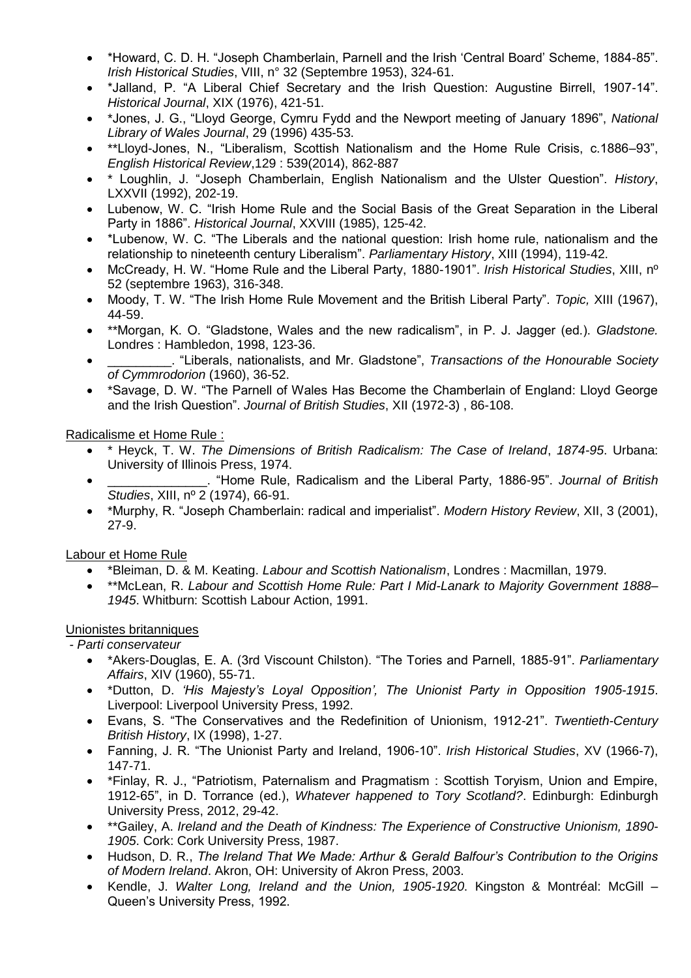- \*Howard, C. D. H. "Joseph Chamberlain, Parnell and the Irish 'Central Board' Scheme, 1884-85". *Irish Historical Studies*, VIII, n° 32 (Septembre 1953), 324-61.
- \*Jalland, P. "A Liberal Chief Secretary and the Irish Question: Augustine Birrell, 1907-14". *Historical Journal*, XIX (1976), 421-51.
- \*Jones, J. G., "Lloyd George, Cymru Fydd and the Newport meeting of January 1896", *National Library of Wales Journal*, 29 (1996) 435-53.
- \*\*Lloyd-Jones, N., "Liberalism, Scottish Nationalism and the Home Rule Crisis, c.1886–93", *English Historical Review*,129 : 539(2014), 862-887
- \* Loughlin, J. "Joseph Chamberlain, English Nationalism and the Ulster Question". *History*, LXXVII (1992), 202-19.
- Lubenow, W. C. "Irish Home Rule and the Social Basis of the Great Separation in the Liberal Party in 1886". *Historical Journal*, XXVIII (1985), 125-42.
- \*Lubenow, W. C. "The Liberals and the national question: Irish home rule, nationalism and the relationship to nineteenth century Liberalism". *Parliamentary History*, XIII (1994), 119-42.
- McCready, H. W. "Home Rule and the Liberal Party, 1880-1901". *Irish Historical Studies*, XIII, nº 52 (septembre 1963), 316-348.
- Moody, T. W. "The Irish Home Rule Movement and the British Liberal Party". *Topic,* XIII (1967), 44-59.
- \*\*Morgan, K. O. "Gladstone, Wales and the new radicalism", in P. J. Jagger (ed.). *Gladstone.* Londres : Hambledon, 1998, 123-36.
- \_\_\_\_\_\_\_\_\_. "Liberals, nationalists, and Mr. Gladstone", *Transactions of the Honourable Society of Cymmrodorion* (1960), 36-52.
- \*Savage, D. W. "The Parnell of Wales Has Become the Chamberlain of England: Lloyd George and the Irish Question". *Journal of British Studies*, XII (1972-3) , 86-108.

## Radicalisme et Home Rule :

- \* Heyck, T. W. *The Dimensions of British Radicalism: The Case of Ireland*, *1874-95*. Urbana: University of Illinois Press, 1974.
- \_\_\_\_\_\_\_\_\_\_\_\_\_\_. "Home Rule, Radicalism and the Liberal Party, 1886-95". *Journal of British Studies*, XIII, nº 2 (1974), 66-91.
- \*Murphy, R. "Joseph Chamberlain: radical and imperialist". *Modern History Review*, XII, 3 (2001), 27-9.

# Labour et Home Rule

- \*Bleiman, D. & M. Keating. *Labour and Scottish Nationalism*, Londres : Macmillan, 1979.
- \*\*McLean, R. *Labour and Scottish Home Rule: Part I Mid-Lanark to Majority Government 1888– 1945*. Whitburn: Scottish Labour Action, 1991.

# Unionistes britanniques

- *- Parti conservateur*
	- \*Akers-Douglas, E. A. (3rd Viscount Chilston). "The Tories and Parnell, 1885-91". *Parliamentary Affairs*, XIV (1960), 55-71.
	- \*Dutton, D. *'His Majesty's Loyal Opposition', The Unionist Party in Opposition 1905-1915*. Liverpool: Liverpool University Press, 1992.
	- Evans, S. "The Conservatives and the Redefinition of Unionism, 1912-21". *Twentieth-Century British History*, IX (1998), 1-27.
	- Fanning, J. R. "The Unionist Party and Ireland, 1906-10". *Irish Historical Studies*, XV (1966-7), 147-71.
	- \*Finlay, R. J., "Patriotism, Paternalism and Pragmatism : Scottish Toryism, Union and Empire, 1912-65", in D. Torrance (ed.), *Whatever happened to Tory Scotland?*. Edinburgh: Edinburgh University Press, 2012, 29-42.
	- \*\*Gailey, A. *Ireland and the Death of Kindness: The Experience of Constructive Unionism, 1890- 1905*. Cork: Cork University Press, 1987.
	- Hudson, D. R., *The Ireland That We Made: Arthur & Gerald Balfour's Contribution to the Origins of Modern Ireland*. Akron, OH: University of Akron Press, 2003.
	- Kendle, J. *Walter Long, Ireland and the Union, 1905-1920*. Kingston & Montréal: McGill Queen's University Press, 1992.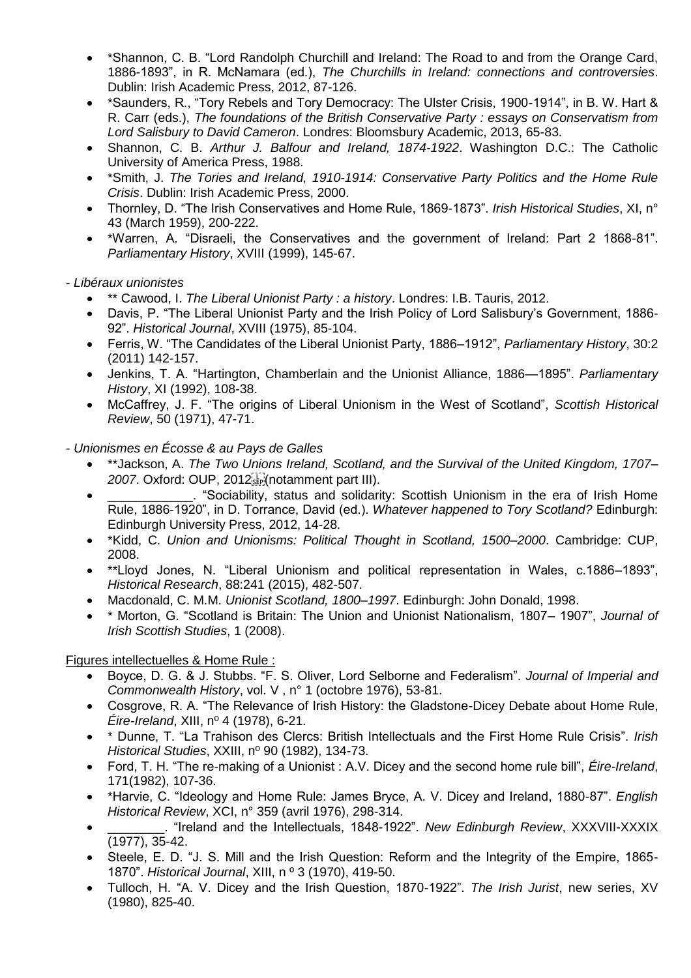- \*Shannon, C. B. "Lord Randolph Churchill and Ireland: The Road to and from the Orange Card, 1886-1893", in R. McNamara (ed.), *The Churchills in Ireland: connections and controversies*. Dublin: Irish Academic Press, 2012, 87-126.
- \*Saunders, R., "Tory Rebels and Tory Democracy: The Ulster Crisis, 1900-1914", in B. W. Hart & R. Carr (eds.), *The foundations of the British Conservative Party : essays on Conservatism from Lord Salisbury to David Cameron*. Londres: Bloomsbury Academic, 2013, 65-83.
- Shannon, C. B. *Arthur J. Balfour and Ireland, 1874-1922*. Washington D.C.: The Catholic University of America Press, 1988.
- \*Smith, J. *The Tories and Ireland, 1910-1914: Conservative Party Politics and the Home Rule Crisis*. Dublin: Irish Academic Press, 2000.
- Thornley, D. "The Irish Conservatives and Home Rule, 1869-1873". *Irish Historical Studies*, XI, n° 43 (March 1959), 200-222.
- \*Warren, A. "Disraeli, the Conservatives and the government of Ireland: Part 2 1868-81". *Parliamentary History*, XVIII (1999), 145-67.

*- Libéraux unionistes*

- \*\* Cawood, I. *The Liberal Unionist Party : a history*. Londres: I.B. Tauris, 2012.
- Davis, P. "The Liberal Unionist Party and the Irish Policy of Lord Salisbury's Government, 1886- 92". *Historical Journal*, XVIII (1975), 85-104.
- Ferris, W. "The Candidates of the Liberal Unionist Party, 1886–1912", *Parliamentary History*, 30:2 (2011) 142-157.
- Jenkins, T. A. "Hartington, Chamberlain and the Unionist Alliance, 1886—1895". *Parliamentary History*, XI (1992), 108-38.
- McCaffrey, J. F. "The origins of Liberal Unionism in the West of Scotland", *Scottish Historical Review*, 50 (1971), 47-71.

*- Unionismes en Écosse & au Pays de Galles*

- \*\*Jackson, A. *The Two Unions Ireland, Scotland, and the Survival of the United Kingdom, 1707–* 2007. Oxford: OUP, 2012<sup>[1</sup>]<sup>[1</sup>](notamment part III).
- **Example 2** · "Sociability, status and solidarity: Scottish Unionism in the era of Irish Home Rule, 1886-1920", in D. Torrance, David (ed.). *Whatever happened to Tory Scotland?* Edinburgh: Edinburgh University Press, 2012, 14-28.
- \*Kidd, C. *Union and Unionisms: Political Thought in Scotland, 1500–2000*. Cambridge: CUP, 2008.
- \*\*Lloyd Jones, N. "Liberal Unionism and political representation in Wales, c.1886–1893", *Historical Research*, 88:241 (2015), 482-507.
- Macdonald, C. M.M. *Unionist Scotland, 1800–1997*. Edinburgh: John Donald, 1998.
- \* Morton, G. "Scotland is Britain: The Union and Unionist Nationalism, 1807– 1907", *Journal of Irish Scottish Studies*, 1 (2008).

Figures intellectuelles & Home Rule :

- Boyce, D. G. & J. Stubbs. "F. S. Oliver, Lord Selborne and Federalism". *Journal of Imperial and Commonwealth History*, vol. V , n° 1 (octobre 1976), 53-81.
- Cosgrove, R. A. "The Relevance of Irish History: the Gladstone-Dicey Debate about Home Rule, *Éire-Ireland*, XIII, nº 4 (1978), 6-21.
- \* Dunne, T. "La Trahison des Clercs: British Intellectuals and the First Home Rule Crisis". *Irish Historical Studies*, XXIII, nº 90 (1982), 134-73.
- Ford, T. H. "The re-making of a Unionist : A.V. Dicey and the second home rule bill", *Éire-Ireland*, 171(1982), 107-36.
- \*Harvie, C. "Ideology and Home Rule: James Bryce, A. V. Dicey and Ireland, 1880-87". *English Historical Review*, XCI, n° 359 (avril 1976), 298-314.
- \_\_\_\_\_\_\_\_. "Ireland and the Intellectuals, 1848-1922". *New Edinburgh Review*, XXXVIII-XXXIX (1977), 35-42.
- Steele, E. D. "J. S. Mill and the Irish Question: Reform and the Integrity of the Empire, 1865- 1870". *Historical Journal*, XIII, n º 3 (1970), 419-50.
- Tulloch, H. "A. V. Dicey and the Irish Question, 1870-1922". *The Irish Jurist*, new series, XV (1980), 825-40.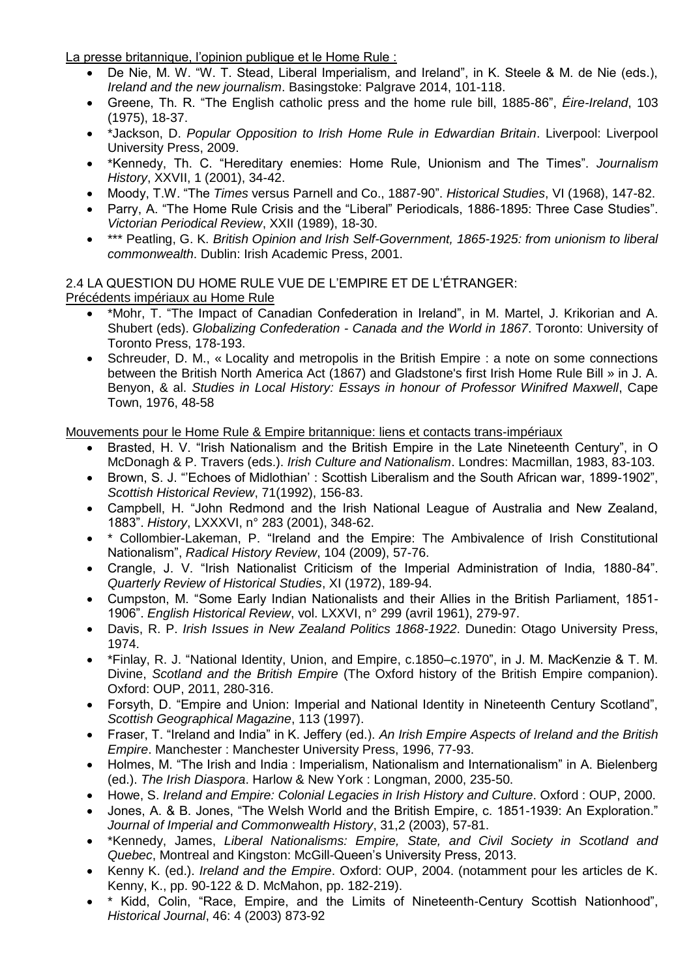La presse britannique, l'opinion publique et le Home Rule :

- De Nie, M. W. "W. T. Stead, Liberal Imperialism, and Ireland", in K. Steele & M. de Nie (eds.), *Ireland and the new journalism*. Basingstoke: Palgrave 2014, 101-118.
- Greene, Th. R. "The English catholic press and the home rule bill, 1885-86", *Éire-Ireland*, 103 (1975), 18-37.
- \*Jackson, D. *Popular Opposition to Irish Home Rule in Edwardian Britain*. Liverpool: Liverpool University Press, 2009.
- \*Kennedy, Th. C. "Hereditary enemies: Home Rule, Unionism and The Times". *Journalism History*, XXVII, 1 (2001), 34-42.
- Moody, T.W. "The *Times* versus Parnell and Co., 1887-90". *Historical Studies*, VI (1968), 147-82.
- Parry, A. "The Home Rule Crisis and the "Liberal" Periodicals, 1886-1895: Three Case Studies". *Victorian Periodical Review*, XXII (1989), 18-30.
- \*\*\* Peatling, G. K. *British Opinion and Irish Self-Government, 1865-1925: from unionism to liberal commonwealth*. Dublin: Irish Academic Press, 2001.

2.4 LA QUESTION DU HOME RULE VUE DE L'EMPIRE ET DE L'ÉTRANGER:

Précédents impériaux au Home Rule

- \*Mohr, T. "The Impact of Canadian Confederation in Ireland", in M. Martel, J. Krikorian and A. Shubert (eds). *Globalizing Confederation - Canada and the World in 1867*. Toronto: University of Toronto Press, 178-193.
- Schreuder, D. M., « Locality and metropolis in the British Empire : a note on some connections between the British North America Act (1867) and Gladstone's first Irish Home Rule Bill » in J. A. Benyon, & al. *Studies in Local History: Essays in honour of Professor Winifred Maxwell*, Cape Town, 1976, 48-58

Mouvements pour le Home Rule & Empire britannique: liens et contacts trans-impériaux

- Brasted, H. V. "Irish Nationalism and the British Empire in the Late Nineteenth Century", in O McDonagh & P. Travers (eds.). *Irish Culture and Nationalism*. Londres: Macmillan, 1983, 83-103.
- Brown, S. J. "'Echoes of Midlothian' : Scottish Liberalism and the South African war, 1899-1902", *Scottish Historical Review*, 71(1992), 156-83.
- Campbell, H. "John Redmond and the Irish National League of Australia and New Zealand, 1883". *History*, LXXXVI, n° 283 (2001), 348-62.
- \* Collombier-Lakeman, P. "Ireland and the Empire: The Ambivalence of Irish Constitutional Nationalism", *Radical History Review*, 104 (2009), 57-76.
- Crangle, J. V. "Irish Nationalist Criticism of the Imperial Administration of India, 1880-84". *Quarterly Review of Historical Studies*, XI (1972), 189-94.
- Cumpston, M. "Some Early Indian Nationalists and their Allies in the British Parliament, 1851- 1906". *English Historical Review*, vol. LXXVI, n° 299 (avril 1961), 279-97.
- Davis, R. P. *Irish Issues in New Zealand Politics 1868-1922*. Dunedin: Otago University Press, 1974.
- \*Finlay, R. J. "National Identity, Union, and Empire, c.1850–c.1970", in J. M. MacKenzie & T. M. Divine, *Scotland and the British Empire* (The Oxford history of the British Empire companion). Oxford: OUP, 2011, 280-316.
- Forsyth, D. "Empire and Union: Imperial and National Identity in Nineteenth Century Scotland", *Scottish Geographical Magazine*, 113 (1997).
- Fraser, T. "Ireland and India" in K. Jeffery (ed.). *An Irish Empire Aspects of Ireland and the British Empire*. Manchester : Manchester University Press, 1996, 77-93.
- Holmes, M. "The Irish and India : Imperialism, Nationalism and Internationalism" in A. Bielenberg (ed.). *The Irish Diaspora*. Harlow & New York : Longman, 2000, 235-50.
- Howe, S. *Ireland and Empire: Colonial Legacies in Irish History and Culture*. Oxford : OUP, 2000.
- Jones, A. & B. Jones, "The Welsh World and the British Empire, c. 1851-1939: An Exploration." *Journal of Imperial and Commonwealth History*, 31,2 (2003), 57-81.
- \*Kennedy, James, *Liberal Nationalisms: Empire, State, and Civil Society in Scotland and Quebec*, Montreal and Kingston: McGill-Queen's University Press, 2013.
- Kenny K. (ed.). *Ireland and the Empire*. Oxford: OUP, 2004. (notamment pour les articles de K. Kenny, K., pp. 90-122 & D. McMahon, pp. 182-219).
- \* Kidd, Colin, "Race, Empire, and the Limits of Nineteenth-Century Scottish Nationhood", *Historical Journal*, 46: 4 (2003) 873-92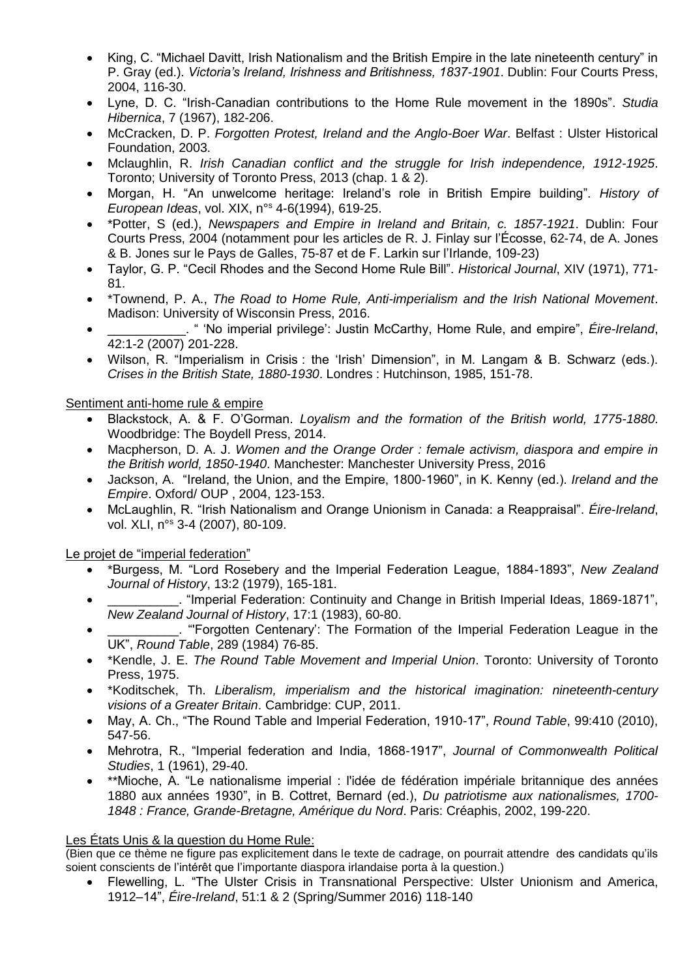- King, C. "Michael Davitt, Irish Nationalism and the British Empire in the late nineteenth century" in P. Gray (ed.). *Victoria's Ireland, Irishness and Britishness, 1837-1901*. Dublin: Four Courts Press, 2004, 116-30.
- Lyne, D. C. "Irish-Canadian contributions to the Home Rule movement in the 1890s". *Studia Hibernica*, 7 (1967), 182-206.
- McCracken, D. P. *Forgotten Protest, Ireland and the Anglo-Boer War*. Belfast : Ulster Historical Foundation, 2003.
- Mclaughlin, R. *Irish Canadian conflict and the struggle for Irish independence, 1912-1925*. Toronto; University of Toronto Press, 2013 (chap. 1 & 2).
- Morgan, H. "An unwelcome heritage: Ireland's role in British Empire building". *History of European Ideas*, vol. XIX, n°<sup>s</sup> 4-6(1994), 619-25.
- \*Potter, S (ed.), *Newspapers and Empire in Ireland and Britain, c. 1857-1921*. Dublin: Four Courts Press, 2004 (notamment pour les articles de R. J. Finlay sur l'Écosse, 62-74, de A. Jones & B. Jones sur le Pays de Galles, 75-87 et de F. Larkin sur l'Irlande, 109-23)
- Taylor, G. P. "Cecil Rhodes and the Second Home Rule Bill". *Historical Journal*, XIV (1971), 771- 81.
- \*Townend, P. A., *The Road to Home Rule, Anti-imperialism and the Irish National Movement*. Madison: University of Wisconsin Press, 2016.
- \_\_\_\_\_\_\_\_\_\_\_. " 'No imperial privilege': Justin McCarthy, Home Rule, and empire", *Éire-Ireland*, 42:1-2 (2007) 201-228.
- Wilson, R. "Imperialism in Crisis : the 'Irish' Dimension", in M. Langam & B. Schwarz (eds.). *Crises in the British State, 1880-1930*. Londres : Hutchinson, 1985, 151-78.

Sentiment anti-home rule & empire

- Blackstock, A. & F. O'Gorman. *Loyalism and the formation of the British world, 1775-1880*. Woodbridge: The Boydell Press, 2014.
- Macpherson, D. A. J. *Women and the Orange Order : female activism, diaspora and empire in the British world, 1850-1940*. Manchester: Manchester University Press, 2016
- Jackson, A. "Ireland, the Union, and the Empire, 1800-1960", in K. Kenny (ed.). *Ireland and the Empire*. Oxford/ OUP , 2004, 123-153.
- McLaughlin, R. "Irish Nationalism and Orange Unionism in Canada: a Reappraisal". *Éire-Ireland*, vol. XLI, n°<sup>s</sup> 3-4 (2007), 80-109.

Le projet de "imperial federation"

- \*Burgess, M. "Lord Rosebery and the Imperial Federation League, 1884-1893", *New Zealand Journal of History*, 13:2 (1979), 165-181.
- \_\_\_\_\_\_\_\_\_\_. "Imperial Federation: Continuity and Change in British Imperial Ideas, 1869-1871", *New Zealand Journal of History*, 17:1 (1983), 60-80.
- **Example 2** Terresten Centenary': The Formation of the Imperial Federation League in the UK", *Round Table*, 289 (1984) 76-85.
- \*Kendle, J. E. *The Round Table Movement and Imperial Union*. Toronto: University of Toronto Press, 1975.
- \*Koditschek, Th. *Liberalism, imperialism and the historical imagination: nineteenth-century visions of a Greater Britain*. Cambridge: CUP, 2011.
- May, A. Ch., "The Round Table and Imperial Federation, 1910-17", *Round Table*, 99:410 (2010), 547-56.
- Mehrotra, R., "Imperial federation and India, 1868-1917", *Journal of Commonwealth Political Studies*, 1 (1961), 29-40.
- \*\*Mioche, A. "Le nationalisme imperial : l'idée de fédération impériale britannique des années 1880 aux années 1930", in B. Cottret, Bernard (ed.), *Du patriotisme aux nationalismes, 1700- 1848 : France, Grande-Bretagne, Amérique du Nord*. Paris: Créaphis, 2002, 199-220.

#### Les États Unis & la question du Home Rule:

(Bien que ce thème ne figure pas explicitement dans le texte de cadrage, on pourrait attendre des candidats qu'ils soient conscients de l'intérêt que l'importante diaspora irlandaise porta à la question.)

• Flewelling, L. "The Ulster Crisis in Transnational Perspective: Ulster Unionism and America, 1912–14", *Éire-Ireland*, 51:1 & 2 (Spring/Summer 2016) 118-140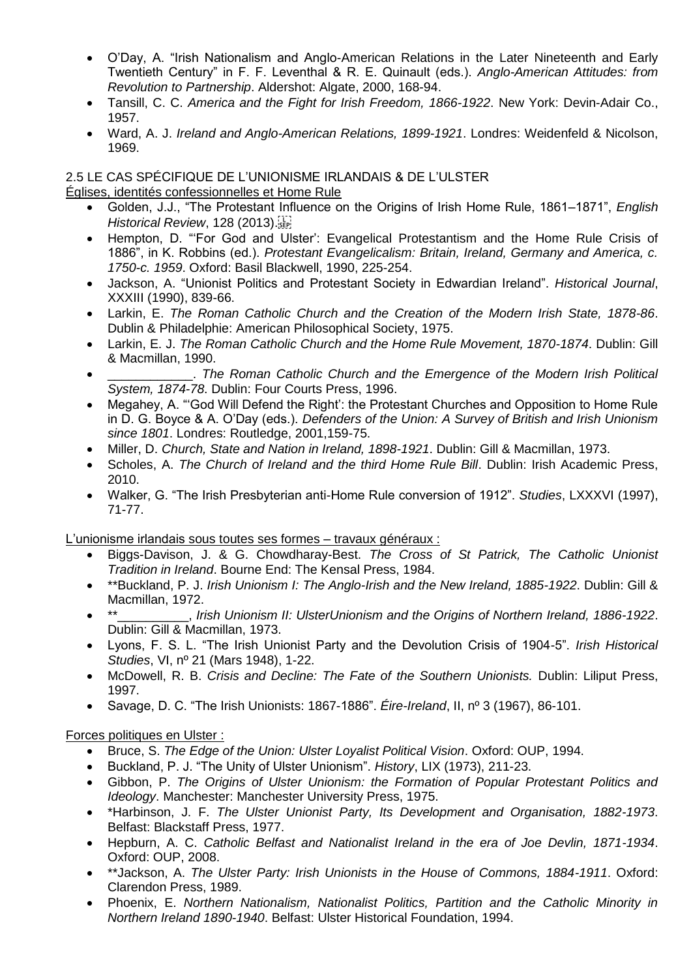- O'Day, A. "Irish Nationalism and Anglo-American Relations in the Later Nineteenth and Early Twentieth Century" in F. F. Leventhal & R. E. Quinault (eds.). *Anglo-American Attitudes: from Revolution to Partnership*. Aldershot: Algate, 2000, 168-94.
- Tansill, C. C. *America and the Fight for Irish Freedom, 1866-1922*. New York: Devin-Adair Co., 1957.
- Ward, A. J. *Ireland and Anglo-American Relations, 1899-1921*. Londres: Weidenfeld & Nicolson, 1969.

## 2.5 LE CAS SPÉCIFIQUE DE L'UNIONISME IRLANDAIS & DE L'ULSTER

Églises, identités confessionnelles et Home Rule

- Golden, J.J., "The Protestant Influence on the Origins of Irish Home Rule, 1861–1871", *English Historical Review*, 128 (2013).
- Hempton, D. "'For God and Ulster': Evangelical Protestantism and the Home Rule Crisis of 1886", in K. Robbins (ed.). *Protestant Evangelicalism: Britain, Ireland, Germany and America, c. 1750-c. 1959*. Oxford: Basil Blackwell, 1990, 225-254.
- Jackson, A. "Unionist Politics and Protestant Society in Edwardian Ireland". *Historical Journal*, XXXIII (1990), 839-66.
- Larkin, E. *The Roman Catholic Church and the Creation of the Modern Irish State, 1878-86*. Dublin & Philadelphie: American Philosophical Society, 1975.
- Larkin, E. J. *The Roman Catholic Church and the Home Rule Movement, 1870-1874*. Dublin: Gill & Macmillan, 1990.
- \_\_\_\_\_\_\_\_\_\_\_\_. *The Roman Catholic Church and the Emergence of the Modern Irish Political System, 1874-78*. Dublin: Four Courts Press, 1996.
- Megahey, A. "'God Will Defend the Right': the Protestant Churches and Opposition to Home Rule in D. G. Boyce & A. O'Day (eds.). *Defenders of the Union: A Survey of British and Irish Unionism since 1801*. Londres: Routledge, 2001,159-75.
- Miller, D. *Church, State and Nation in Ireland, 1898-1921*. Dublin: Gill & Macmillan, 1973.
- Scholes, A. *The Church of Ireland and the third Home Rule Bill*. Dublin: Irish Academic Press, 2010.
- Walker, G. "The Irish Presbyterian anti-Home Rule conversion of 1912". *Studies*, LXXXVI (1997), 71-77.

L'unionisme irlandais sous toutes ses formes – travaux généraux :

- Biggs-Davison, J. & G. Chowdharay-Best. *The Cross of St Patrick, The Catholic Unionist Tradition in Ireland*. Bourne End: The Kensal Press, 1984.
- \*\*Buckland, P. J. *Irish Unionism I: The Anglo-Irish and the New Ireland, 1885-1922*. Dublin: Gill & Macmillan, 1972.
- <sub>-</sub>, Irish Unionism II: UlsterUnionism and the Origins of Northern Ireland, 1886-1922. Dublin: Gill & Macmillan, 1973.
- Lyons, F. S. L. "The Irish Unionist Party and the Devolution Crisis of 1904-5". *Irish Historical Studies*, VI, nº 21 (Mars 1948), 1-22.
- McDowell, R. B. *Crisis and Decline: The Fate of the Southern Unionists.* Dublin: Liliput Press, 1997.
- Savage, D. C. "The Irish Unionists: 1867-1886". *Éire-Ireland*, II, nº 3 (1967), 86-101.

# Forces politiques en Ulster :

- Bruce, S. *The Edge of the Union: Ulster Loyalist Political Vision*. Oxford: OUP, 1994.
- Buckland, P. J. "The Unity of Ulster Unionism". *History*, LIX (1973), 211-23.
- Gibbon, P. *The Origins of Ulster Unionism: the Formation of Popular Protestant Politics and Ideology*. Manchester: Manchester University Press, 1975.
- \*Harbinson, J. F. *The Ulster Unionist Party, Its Development and Organisation, 1882-1973*. Belfast: Blackstaff Press, 1977.
- Hepburn, A. C. *Catholic Belfast and Nationalist Ireland in the era of Joe Devlin, 1871-1934*. Oxford: OUP, 2008.
- \*\*Jackson, A. *The Ulster Party: Irish Unionists in the House of Commons, 1884-1911*. Oxford: Clarendon Press, 1989.
- Phoenix, E. *Northern Nationalism, Nationalist Politics, Partition and the Catholic Minority in Northern Ireland 1890-1940*. Belfast: Ulster Historical Foundation, 1994.